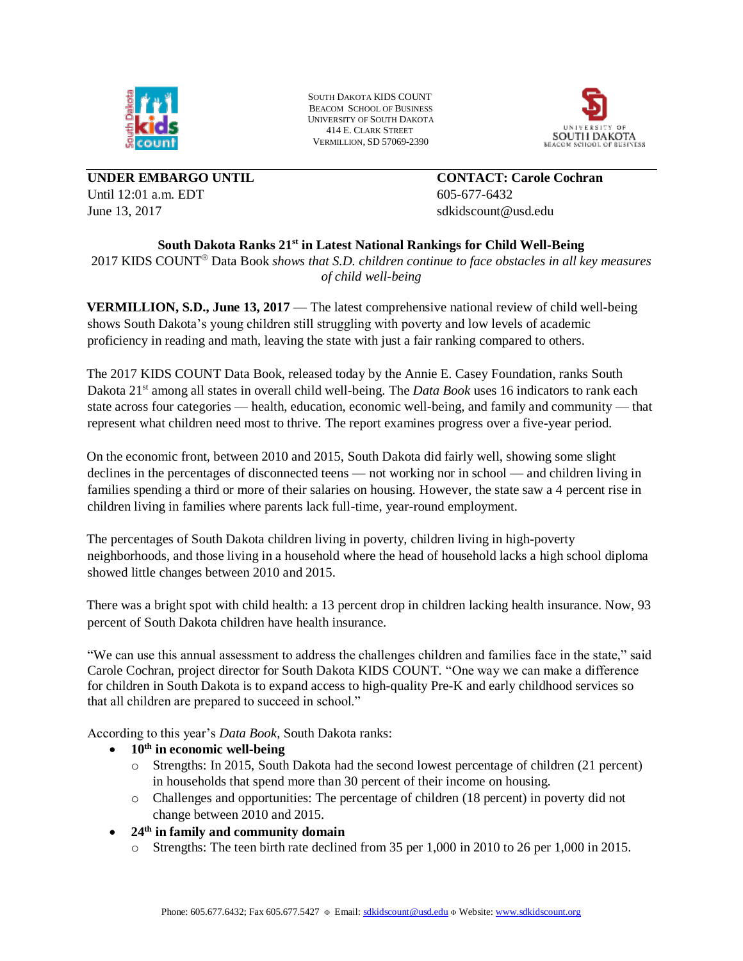

SOUTH DAKOTA KIDS COUNT BEACOM SCHOOL OF BUSINESS UNIVERSITY OF SOUTH DAKOTA 414 E. CLARK STREET VERMILLION, SD 57069-2390



**UNDER EMBARGO UNTIL CONTACT: Carole Cochran** Until 12:01 a.m. EDT 605-677-6432 June 13, 2017 **Solution** 3.2017 **s**dkidscount@usd.edu

# **South Dakota Ranks 21st in Latest National Rankings for Child Well-Being**

2017 KIDS COUNT Data Book *shows that S.D. children continue to face obstacles in all key measures of child well-being*

**VERMILLION, S.D., June 13, 2017** — The latest comprehensive national review of child well-being shows South Dakota's young children still struggling with poverty and low levels of academic proficiency in reading and math, leaving the state with just a fair ranking compared to others.

The 2017 KIDS COUNT Data Book, released today by the Annie E. Casey Foundation, ranks South Dakota 21<sup>st</sup> among all states in overall child well-being. The *Data Book* uses 16 indicators to rank each state across four categories — health, education, economic well-being, and family and community — that represent what children need most to thrive. The report examines progress over a five-year period.

On the economic front, between 2010 and 2015, South Dakota did fairly well, showing some slight declines in the percentages of disconnected teens — not working nor in school — and children living in families spending a third or more of their salaries on housing. However, the state saw a 4 percent rise in children living in families where parents lack full-time, year-round employment.

The percentages of South Dakota children living in poverty, children living in high-poverty neighborhoods, and those living in a household where the head of household lacks a high school diploma showed little changes between 2010 and 2015.

There was a bright spot with child health: a 13 percent drop in children lacking health insurance. Now, 93 percent of South Dakota children have health insurance.

"We can use this annual assessment to address the challenges children and families face in the state," said Carole Cochran, project director for South Dakota KIDS COUNT. "One way we can make a difference for children in South Dakota is to expand access to high-quality Pre-K and early childhood services so that all children are prepared to succeed in school."

According to this year's *Data Book*, South Dakota ranks:

- **10th in economic well-being**
	- o Strengths: In 2015, South Dakota had the second lowest percentage of children (21 percent) in households that spend more than 30 percent of their income on housing.
	- o Challenges and opportunities: The percentage of children (18 percent) in poverty did not change between 2010 and 2015.
- **24th in family and community domain**
	- o Strengths: The teen birth rate declined from 35 per 1,000 in 2010 to 26 per 1,000 in 2015.